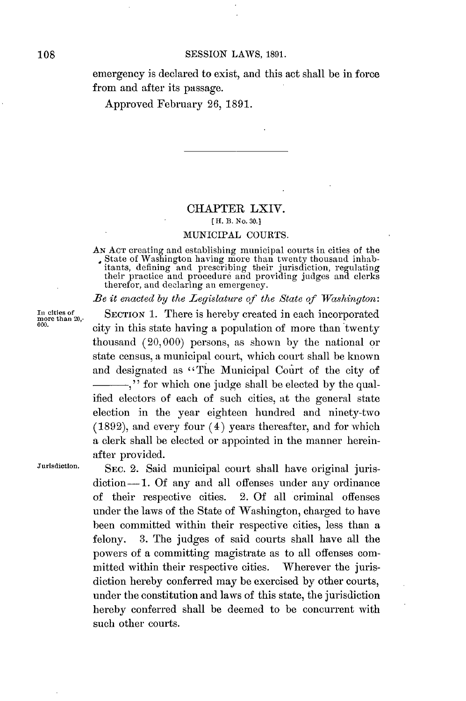emergency is declared to exist, and this act shall be in force from and after its passage.

Approved February **26, 1891.**

## CHAPTER LXIV. [ H. B. No. 30.]

## MUNICIPAL **COURTS.**

**AN ACT** creating and establishing municipal courts in cities of the State of Washington having more than twenty thousand inhab-itants, defining and prescribing their jurisdiction, regulating their practice and procedure and providing judges and clerks therefor, and declaring an emergency.

*Be it enacted by the Legislature of the State of Washington:*

In cities of **SECTION 1.** There is hereby created in each incorporated  $\frac{1}{1000}$ . **city** in this state having a population of more than twenty thousand (20,000) persons, as shown **by** the national or state census, a municipal court, which court shall be known and designated as "The Municipal Court of the city of  $\rightarrow$ ," for which one judge shall be elected by the qualified electors of each of such cities, at the general state election in the year eighteen hundred and ninety-two **(1892),** and every four (4) years thereafter, and for which a clerk shall be elected or appointed in the manner hereinafter provided.

Jurisdiction. SEC. 2. Said municipal court shall have original jurisdiction-1. Of any and all offenses under any ordinance of their respective cities. 2. **Of** all criminal offenses under the laws of the State of Washington, charged to have been committed within their respective cities, less than a felony. **3.** The judges of said courts shall have all the powers of a committing magistrate as to all offenses committed within their respective cities. Wherever the jurisdiction hereby conferred may be exercised **by** other courts, under the constitution and laws of this state, the jurisdiction hereby conferred shall be deemed to be concurrent with such other courts.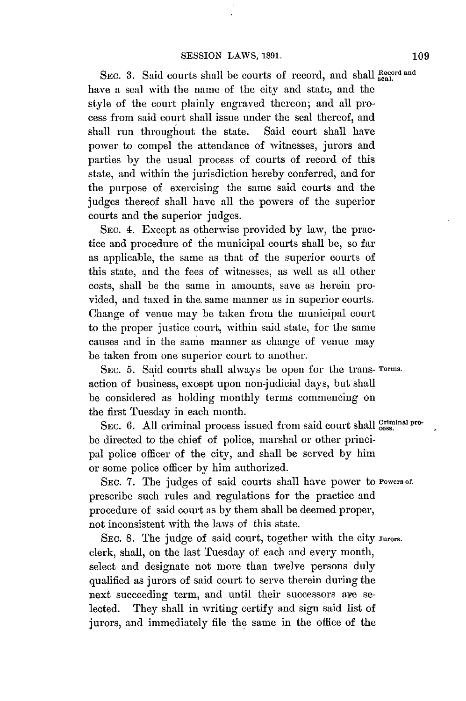SEC. 3. Said courts shall be courts of record, and shall **Record** and have a seal with the name of the city and state, and the style of the court plainly engraved thereon; and all process from said court shall issue under the seal thereof, and shall run throughout the state. Said court shall have power to compel the attendance of witnesses, jurors and parties **by** the usual process of courts of record of this state, and within the jurisdiction hereby conferred, and for the purpose of exercising the same said courts and the judges thereof shall have all the powers of the superior courts and the superior judges.

**SEC.** 4. Except as otherwise provided **by** law, the practice and procedure of the municipal courts shall be, so far as applicable, the same as that of the superior courts of this state, and the fees of witnesses, as well as all other costs, shall be the same in amounts, save as herein provided, and taxed in the. same manner as in superior courts. Change of venue may be taken from the municipal court to the proper justice court, within said state, for the same causes and in the same manner as change of venue may be taken from one superior court to another.

SEc. **5.** Said courts shall always be open for the trans- **Terms.** action of business, except upon non-judicial days, but shall be considered as holding monthly terms commencing on the first Tuesday in each month.

SEC. 6. All criminal process issued from said court shall *criminal* probe directed to the chief of police, marshal or other principal police officer of the city, and shall be served **by** him or some police officer **by** him authorized.

**SEc. 7.** The judges of said courts shall have power to **Powers** *of.* prescribe such rules and regulations for the practice and procedure of said court as **by** them shall be deemed proper, not inconsistent with the laws of this state.

**SEC. 8.** The judge of said court, together with the city **Turors.** clerk, shall, on the last Tuesday of each and every month, select and designate not more than twelve persons duly qualified as jurors of said court to serve therein during the next succeeding term, and until their successors are selected. They shall in writing certify and sign said list of jurors, and immediately file the same in the office of the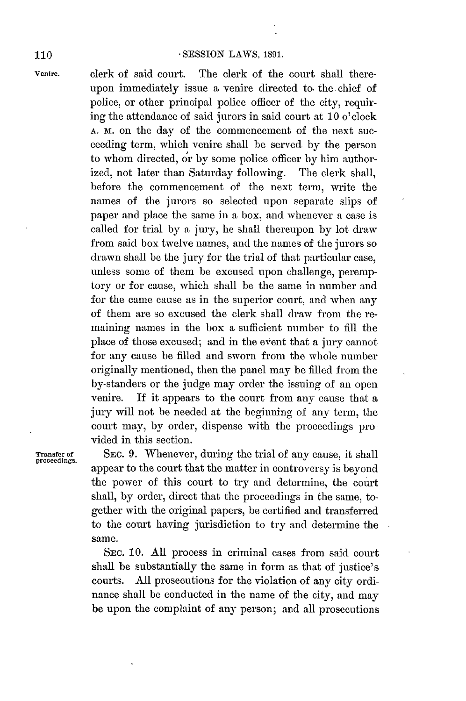**ventre.** clerk of said court. The clerk of the court shall thereupon immediately issue a venire directed to. the.chief of police, or other principal police officer of the city, requiring the attendance of said jurors in said court at **10** o'clock **A.** M. on the day of the commencement of the next succeeding term, which venire shall be served **by** the person to whom directed, or **by** some police officer **by** him authorized, not later than Saturday following. The clerk shall, before the commencement of the next term, write the names of the jurors so selected upon separate slips of paper and place the same in a box, and whenever a case is called for trial **by** a jury, he shall thereupon **by** lot draw from said box twelve names, and the names of the jurors so drawn shall be the jury for the trial of that particular case, unless some of them be excused upon challenge, peremptory or for cause, which shall **be** the same in number and for the came cause as in the superior court, and when any of them are so excused the clerk shall draw from the remaining names in the box a sufficient number to fill the place of those excused; and in the event that a jury cannot for any cause be filled and sworn from the whole number originally mentioned, then the panel may **be** filled from the by-standers or the judge may order the issuing of an open venire. If it appears to the court from any cause that a jury will not be needed at the beginning of any term, the court may, **by** order, dispense with the proceedings pro vided in this section.

**Transfer of SEC. 9.** Whenever, during the trial of any cause, it shall **proceedings.** appear to the court that the matter in controversy is beyond the power of this court to try and determine, the court shall, **by** order, direct that the proceedings in the same, together with the original papers, be certified and transferred to the court having jurisdiction to try and determine the same.

> **SEC. 10. All** process in criminal cases from said court shall be substantially the same in form as that of justice's courts. **All** prosecutions for the violation of any city ordinance shall be conducted in the name of the city, and may be upon the complaint of any person; and all prosecutions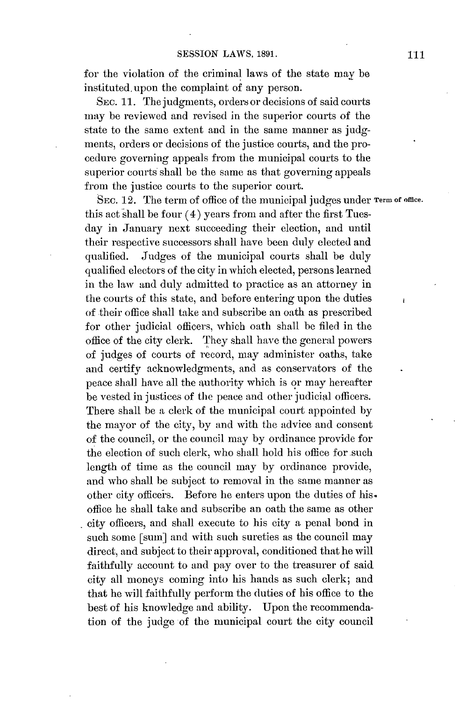for the violation of the criminal laws of the state may be instituted upon the complaint of any person.

**SEc. 11.** The judgments, orders or decisions of said courts may be reviewed and revised in the superior courts of the *state* to the same extent and in the same manner as **judg**ments, orders or decisions of the justice courts, and the procedure governing appeals from the municipal courts to the superior courts shall **be** the same as that governing appeals from the justice courts to the superior court.

**SEc. 12.** The term of office of the municipal judges under **Term of office.** this act shall be four (4) years from and after the first Tuesday in January next succeeding their election, and until their respective successors shall have been duly elected and qualified. Judges of the municipal courts shall be duly qualified electors of the city in which elected, persons learned in the law and duly admitted to practice as an attorney in the courts of this state, and before entering upon the duties of their office shall take and subscribe an oath as prescribed for other judicial officers, which oath shall **be** filed in the office of the city clerk. They shall have the general powers of judges of courts of record, may administer oaths, take and certify acknowledgments, and as conservators of the peace shall have all the authority which is or may hereafter be vested in justices of the peace and other judicial officers. There shall be a clerk of the municipal court appointed **by** the mayor of the city, **by** and with the advice and consent of the council, or the council may **by** ordinance provide for the election of such clerk, who shall hold his office for such length of time as the council may **by** ordinance provide, and who shall be subject to removal in the same manner as other city officeis. Before he enters upon the duties of his. office he shall take and subscribe an oath the same as other city officers, and shall execute to his city a penal bond in such some [sum] and with such sureties as the council may direct, and subject to their approval, conditioned that he will faithfully account to and pay over to the treasurer of said city all moneys coming into his hands as such clerk; and that he will faithfully perform the duties of his office to the best of his knowledge and ability. Upon the recommendation of the judge of the municipal court the city council

 $\overline{1}$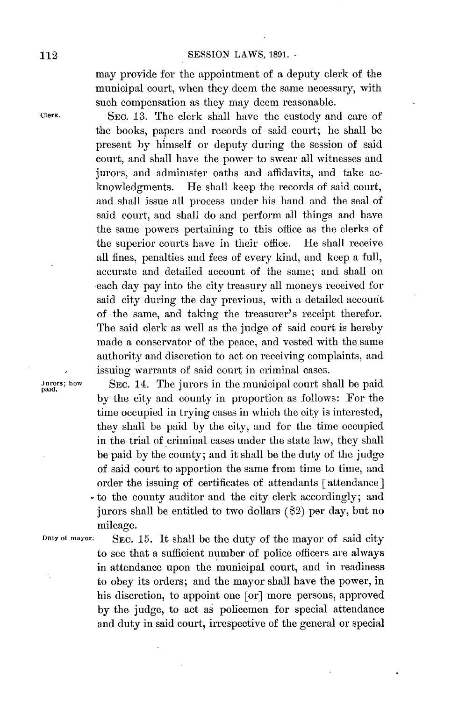may provide for the appointment of a deputy clerk of the municipal court, when they deem the same necessary, with such compensation as they may deem reasonable.

**Cleri. SEC. 13.** The clerk shall have the custody and care of the books, papers and records of said court; he shall be present **by** himself or deputy during the session of said court, and shall have the power to swear **all** witnesses and jurors, and administer oaths and affidavits, and take acknowledgments. He shall keep the records of said court, He shall keep the records of said court, and shall issue all process under his hand and the seal of said court, and shall do and perform all things and have the same powers pertaining to this office as the clerks of the superior courts have in their office. He shall receive all fines, penalties and fees of every kind, and keep a full, accurate and detailed account of the same; and shall on each day **pay** into the city treasury all moneys received for said city during the day previous, with a detailed account of the same, and taking the treasurer's receipt therefor. The said clerk as well as the **judge** of said court is hereby made a conservator of the peace, and vested with the same authority and discretion to act on receiving complaints, and issuing warrants of said court in criminal cases.

**Jurors**; **bow SEC.** 14. The jurors in the municipal court shall be paid. **by** the city and county in proportion as follows: For the time occupied in trying cases in which the city is interested, they shall be paid **by** the city, and for the time occupied in the trial of criminal cases under the state law, they shall **be** paid **by** the county; and it shall **be** the duty of the judge of said court to apportion the same from time to time, and order the issuing of certificates of attendants [attendance] to the county auditor and the city clerk accordingly; and jurors shall be entitled to two dollars (82) per day, but no mileage.

**Duty of mayor.** SEC. **15.** It shall be the duty of the mayor of said city to see that a sufficient number of police officers are always in attendance upon the municipal court, and in readiness to obey its orders; and the mayor shall have the power, in his discretion, to appoint one [or] more persons, approved **by** the judge, to act as policemen for special attendance and duty in said court, irrespective of the general or special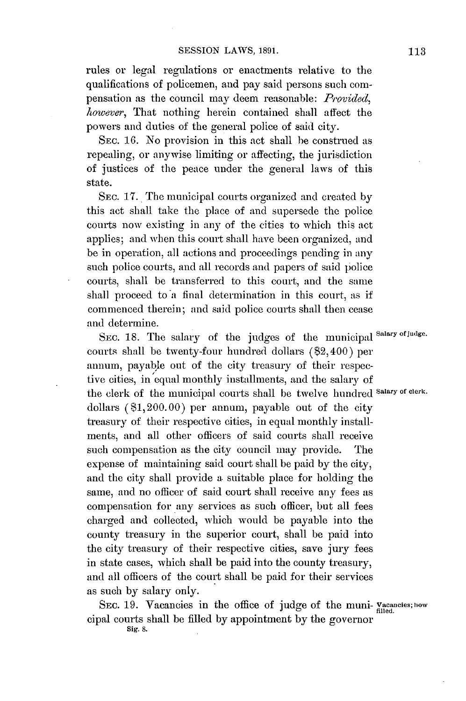rules or legal regulations or enactments relative to the qualifications of policemen, and pay said persons such compensation as the council may deem reasonable: *Provided, however,* That nothing herein contained shall affect the powers and duties of the general police of said **city.**

**SEC. 16.** No provision in this act shall **be** construed as repealing, or anywise limiting or affecting, the jurisdiction of justices of the peace under the general laws of this state.

**SEC. 17.** The municipal courts organized and created **by** this act shall take the place of and supersede the police courts now existing in any of the cities to which this act applies; and when this court shall have been organized, and be in operation, all actions and proceedings pending in any such police courts, and all records **and papers of** said police courts, shall be transferred to this court, and the same shall proceed to a final determination in this court, as if commenced therein; and said police courts shall then cease and determine.

**SEC. 18.** The salary of the judges of the municipal **Salary ofjudge.** courts shall be twenty-four hundred dollars (82,400) per annum, payable out of the city treasury of their respective cities, in equal monthly installments, and the salary of the clerk of the municipal courts shall be twelve hundred **Salary of clerk.** dollars (81,200.00) per annum, payable out of the city treasury of their respective cities, in equal monthly installments, and all other officers of said courts shall receive such compensation as the city council may provide. The expense of maintaining said court shall be paid **by** the city, and the city shall provide a. suitable place for holding the same, and no officer of said court shall receive any fees as compensation for any services as such officer, but all fees charged and collected, which would be payable into the county treasury in the superior court, shall be paid into the city treasury of their respective cities, save jury fees in state cases, which shall be paid into the county treasury, and all officers of the court shall be paid for their services as such **by** salary only.

SEC. 19. Vacancies in the office of judge of the muni- *vacancies*; how cipal courts shall **be** filled **by** appointment **by** the governor

**Sig. 8.**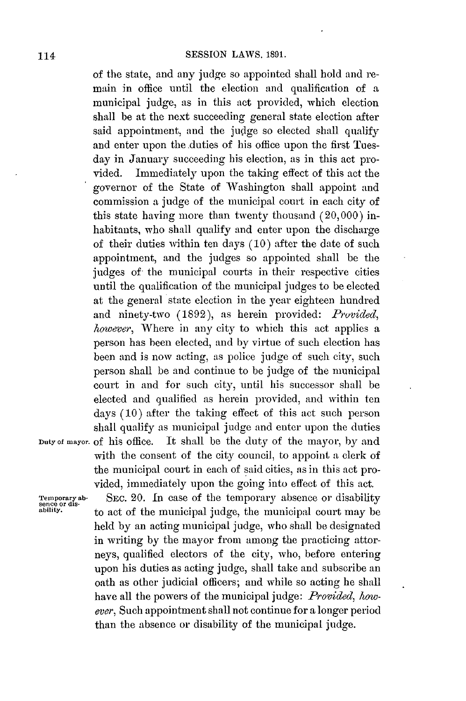of the state, and any judge so appointed shall hold and remain in office until the election and qualification of **a** municipal judge, as in this act provided, which election shall be at the next succeeding general state election after said appointment, and the judge so elected shall qualify and enter upon the.duties of his office upon the first Tuesday in January succeeding his election, as in this act provided. Immediately upon the taking effect of this act the governor of the State of Washington shall appoint and commission a **judge** of the municipal court in each city of this state having more than twenty thousand (20,000) inhabitants, who shall qualify and enter upon the discharge of their duties within ten days **(10)** after the date of such appointment, and the judges so appointed shall be the judges of the municipal courts in their respective cities until the qualification of the municipal judges to be elected at the general state election in the year eighteen hundred and ninety-two **(1892),** as herein provided: *Provided, however,* Where in any city to which this act applies a person has been elected, and **by** virtue of such election has been and is now acting, as police judge of such city, such person shall be and continue to be judge of the municipal court in and for such city, until his successor shall be elected and qualified as herein provided, and within ten days **(10)** after the taking effect of this act such person shall qualify as municipal judge and enter upon the duties **Duty of mayor.** of his office. It shall be the duty of the mayor, **by** and with the consent of the city council, to appoint a clerk of the municipal court in each of said cities, as in this act provided, immediately upon the going into effect of this act.

**Temporary ab-** SEC. 20. In case of the temporary absence or disability ability.<br> **SEC.** 20. In case of the municipal indee, the municipal court may be to act of the municipal judge, the municipal court may be held **by** an acting municipal judge, who shall be designated in writing **by** the mayor from among the practicing attorneys, qualified electors of the city, who, before entering upon his duties as acting judge, shall take and subscribe an oath as other judicial officers; and while so acting he shall have **all** the powers of the municipal judge: *Provided, however,* Such appointment shall not continue for a longer period than the absence or disability of the municipal judge.